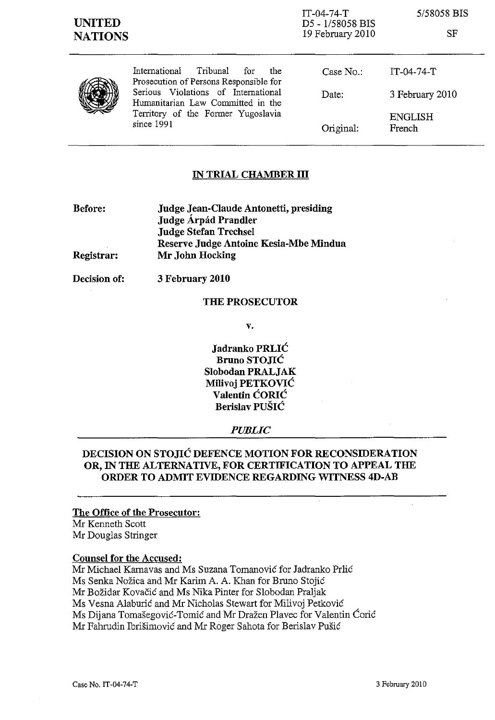IT-04-74-T D5 - 1/58058 BIS 19 February 2010

5/58058 BIS

SF



International Tribunal for the Prosecution of Persons Responsible for Serious Violations of International Humanitarian Law Committed in the Territory of the Former Yugoslavia since 1991

| Case No.: | $IT-04-74-T$             |
|-----------|--------------------------|
| Date:     | 3 February 2010          |
| Original: | <b>ENGLISH</b><br>French |

## IN TRIAL CHAMBER **III**

| <b>Before:</b> | Judge Jean-Claude Antonetti, presiding |  |
|----------------|----------------------------------------|--|
|                | Judge Árpád Prandler                   |  |
|                | <b>Judge Stefan Trechsel</b>           |  |
|                | Reserve Judge Antoine Kesia-Mbe Mindua |  |
| Registrar:     | Mr John Hocking                        |  |

Decision of:

3 February 2010

#### THE PROSECUTOR

v.

Jadranko PRLIC Bruno STOJIĆ Slobodan PRALJAK Milivoj PETKOVIC Valentin CORIC Berislav PUSIC

#### *PUBLIC*

# DECISION ON STOJIĆ DEFENCE MOTION FOR RECONSIDERATION OR, IN THE ALTERNATIVE, FOR CERTIFICATION TO APPEAL THE ORDER TO ADMIT EVIDENCE REGARDING WITNESS 4D-AB

#### The Office of the Prosecutor:

Mr Kenneth Scott Mr Douglas Stringer

## Counsel for the Accused:

Mr Michael Karnavas and Ms Suzana Tomanović for Jadranko Prlić Ms Senka Nožica and Mr Karim A. A. Khan for Bruno Stojić Mr Božidar Kovačić and Ms Nika Pinter for Slobodan Praljak Ms Vesna Alaburić and Mr Nicholas Stewart for Milivoj Petković Ms Dijana Tomašegović-Tomić and Mr Dražen Plavec for Valentin Ćorić Mr Fahrudin Ibrišimović and Mr Roger Sahota for Berislav Pušić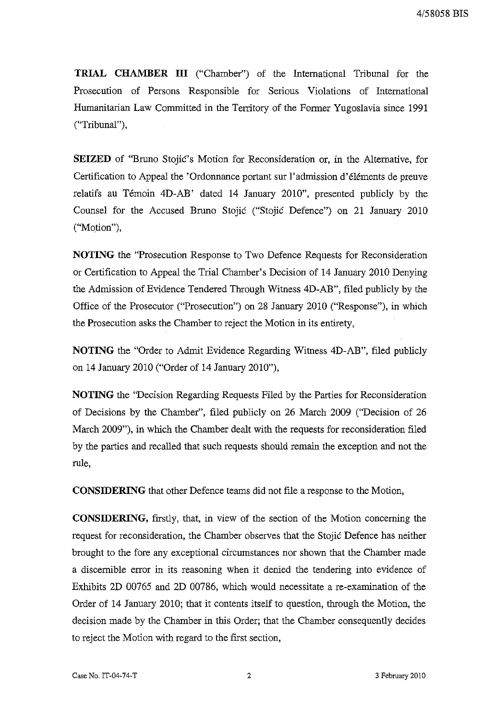**TRIAL CHAMBER III** ("Chamber") of the International Tribunal for the Prosecution of Persons Responsible for Serious Violations of International Humanitarian Law Committed in the Territory of the Former Yugoslavia since 1991 ("Tribunal"),

**SEIZED** of ''Eruno Stojic's Motion for Reconsideration or, in the Alternative, for Certification to Appeal the 'Ordonnance portant sur l'admission d'éléments de preuve relatifs au Témoin 4D-AB' dated 14 January 2010", presented publicly by the Counsel for the Accused Bruno Stojic ("Stojic Defence") on 21 January 2010 ("Motion"),

**NOTING** the "Prosecution Response to Two Defence Requests for Reconsideration or Certification to Appeal the Trial Chamber's Decision of 14 January 2010 Denying the Admission of Evidence Tendered Through Witness 4D-AB", filed publicly by the Office of the Prosecutor ("Prosecution") on 28 January 2010 ("Response"), in which the Prosecution asks the Chamber to reject the Motion in its entirety,

**NOTING** the "Order to Admit Evidence Regarding Witness 4D-AB", filed publicly on 14 January 2010 ("Order of 14 January 2010"),

**NOTING** the "Decision Regarding Requests Filed by the Parties for Reconsideration of Decisions by the Chamber", filed publicly on 26 March 2009 ("Decision of 26 March 2009"), in which the Chamber dealt with the requests for reconsideration filed by the parties and recalled that such requests should remain the exception and not the rule,

**CONSIDERING** that other Defence teams did not file a response to the Motion,

**CONSIDERING,** firstly, that, in view of the section of the Motion concerning the request for reconsideration, the Chamber observes that the Stojic Defence has neither brought to the fore any exceptional circumstances nor shown that the Chamber made a discernible error in its reasoning when it denied the tendering into evidence of Exhibits 2D 00765 and 2D 00786, which would necessitate a re-examination of the Order of 14 January 2010; that it contents itself to question, through the Motion, the decision made by the Chamber in this Order; that the Chamber consequently decides to reject the Motion with regard to the first section,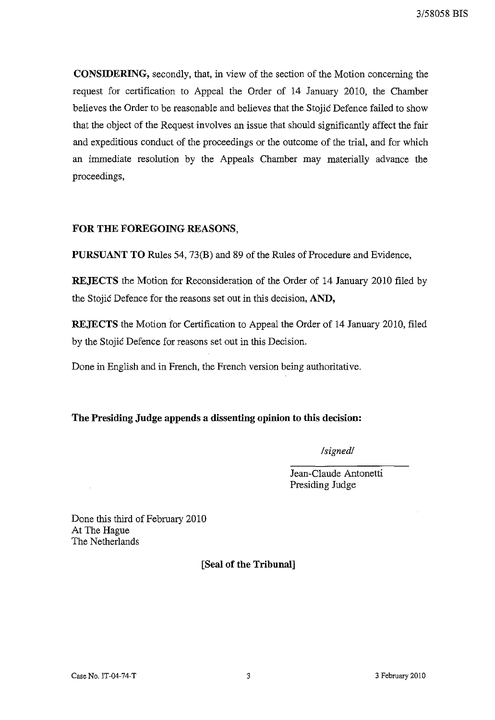**CONSIDERING,** secondly, that, in view of the section of the Motion concerning the request for certification to Appeal the Order of 14 January 2010, the Chamber believes the Order to be reasonable and believes that the Stojic Defence failed to show that the object of the Request involves an issue that should significantly affect the fair and expeditious conduct of the proceedings or the outcome of the trial, and for which an immediate resolution by the Appeals Chamber may materially advance the proceedings,

# **FOR THE FOREGOING REASONS,**

**PURSUANT TO** Rules 54, 73(B) and 89 of the Rules of Procedure and Evidence,

**REJECTS** the Motion for Reconsideration of the Order of 14 January 2010 filed by the Stojic Defence for the reasons set out in this decision, **AND,** 

**REJECTS** the Motion for Certification to Appeal the Order of 14 January 2010, filed by the Stojic Defence for reasons set out in this Decision.

Done in English and in French, the French version being authoritative.

# **The Presiding Judge appends a dissenting opinion to this decision:**

*/signed/* 

Jean-C1aude Antonetti Presiding Judge

Done this third of February 2010 At The Hague The Netherlands

**[Seal of the Tribunal]**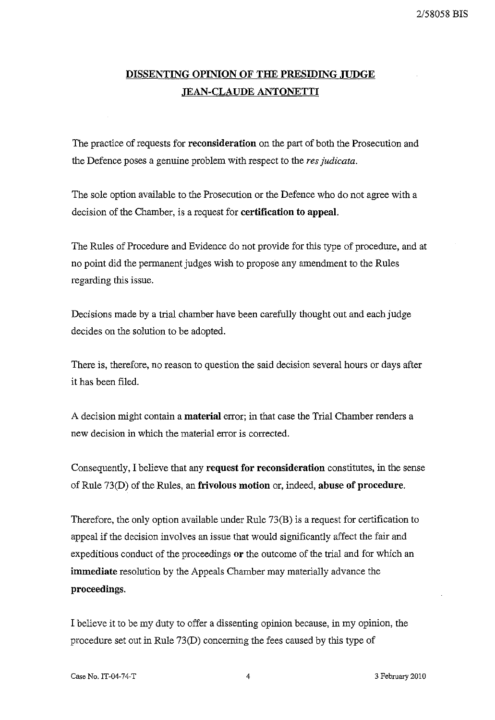# **DISSENTING OPINION OF THE PRESIDING JUDGE ,JEAN-CLAUDE ANTONETTI**

The practice of requests for **reconsideration** on the part of both the Prosecution and tbe Defence poses a genuine problem witb respect to tbe *res judicata.* 

The sole option available to the Prosecution or the Defence who do not agree with a decision of the Chamber, is a request for **certification to appeal.** 

The Rules of Procedure and Evidence do not provide for this type of procedure, and at no point did the permanent judges wish to propose any amendment to tbe Rules regarding this issue.

Decisions made by a trial chamber have been carefully tbought out and each judge decides on the solution to be adopted.

There is, therefore, no reason to question the said decision several hours or days after it has been filed.

A decision might contain a **material** error; in tbat case tbe Trial Chamber renders a new decision in which the material error is corrected.

Consequently, I believe that any **request for reconsideration** constitutes, in tbe sense of Rule 73(D) of tbe Rules, an **frivolous motion** or, indeed, **abuse of procedUre.** 

Therefore, the only option available under Rule 73(B) is a request for certification to appeal if the decision involves an issue that would significantly affect the fair and expeditious conduct of tbe proceedings **or** tbe outcome of tbe trial and for which an **immediate** resolution by tbe Appeals Chamber may materially advance tbe **proceedings.** 

I believe it to be my duty to offer a dissenting opinion because, in my opinion, tbe procedure set out in Rule 73(D) concerning tbe fees caused by this type of